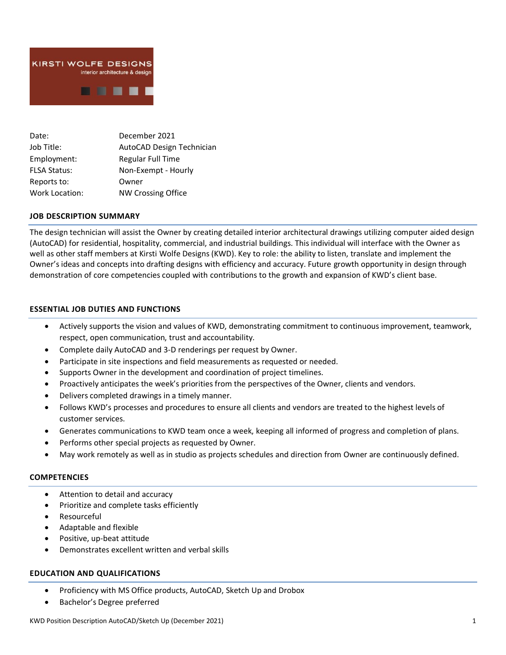

| Date:                 | December 2021             |
|-----------------------|---------------------------|
| Job Title:            | AutoCAD Design Technician |
| Employment:           | <b>Regular Full Time</b>  |
| <b>FLSA Status:</b>   | Non-Exempt - Hourly       |
| Reports to:           | Owner                     |
| <b>Work Location:</b> | <b>NW Crossing Office</b> |

### **JOB DESCRIPTION SUMMARY**

The design technician will assist the Owner by creating detailed interior architectural drawings utilizing computer aided design (AutoCAD) for residential, hospitality, commercial, and industrial buildings. This individual will interface with the Owner as well as other staff members at Kirsti Wolfe Designs (KWD). Key to role: the ability to listen, translate and implement the Owner's ideas and concepts into drafting designs with efficiency and accuracy. Future growth opportunity in design through demonstration of core competencies coupled with contributions to the growth and expansion of KWD's client base.

## **ESSENTIAL JOB DUTIES AND FUNCTIONS**

- Actively supports the vision and values of KWD, demonstrating commitment to continuous improvement, teamwork, respect, open communication, trust and accountability.
- Complete daily AutoCAD and 3-D renderings per request by Owner.
- Participate in site inspections and field measurements as requested or needed.
- Supports Owner in the development and coordination of project timelines.
- Proactively anticipates the week's priorities from the perspectives of the Owner, clients and vendors.
- Delivers completed drawings in a timely manner.
- Follows KWD's processes and procedures to ensure all clients and vendors are treated to the highest levels of customer services.
- Generates communications to KWD team once a week, keeping all informed of progress and completion of plans.
- Performs other special projects as requested by Owner.
- May work remotely as well as in studio as projects schedules and direction from Owner are continuously defined.

## **COMPETENCIES**

- Attention to detail and accuracy
- Prioritize and complete tasks efficiently
- **Resourceful**
- Adaptable and flexible
- Positive, up-beat attitude
- Demonstrates excellent written and verbal skills

### **EDUCATION AND QUALIFICATIONS**

- Proficiency with MS Office products, AutoCAD, Sketch Up and Drobox
- Bachelor's Degree preferred